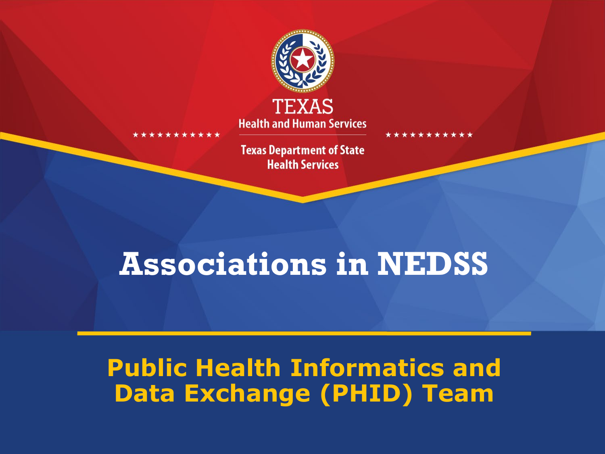

**Health and Human Services** 

**Texas Department of State Health Services** 

#### **Associations in NEDSS**

#### **Public Health Informatics and Data Exchange (PHID) Team**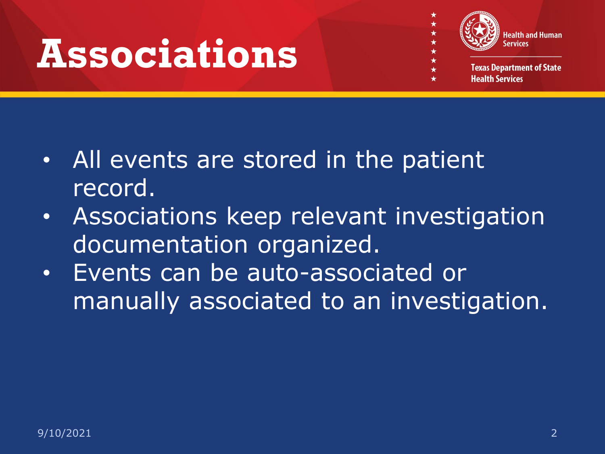# **Associations**



**Texas Department of State Health Services** 

- All events are stored in the patient record.
- Associations keep relevant investigation documentation organized.
- Events can be auto-associated or manually associated to an investigation.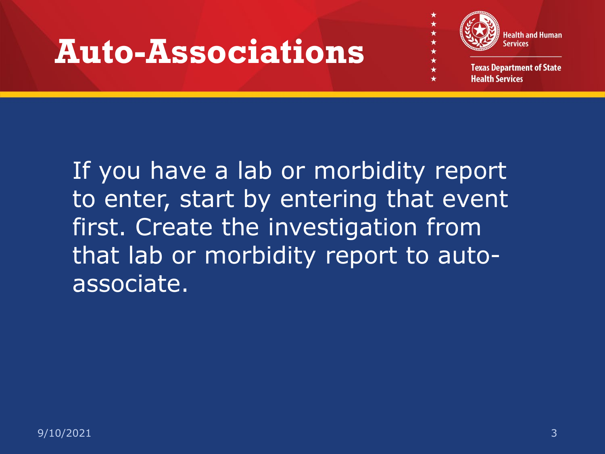### **Auto-Associations**



 $\star$ 

 $\star$ 

**Texas Department of State Health Services** 

If you have a lab or morbidity report to enter, start by entering that event first. Create the investigation from that lab or morbidity report to autoassociate.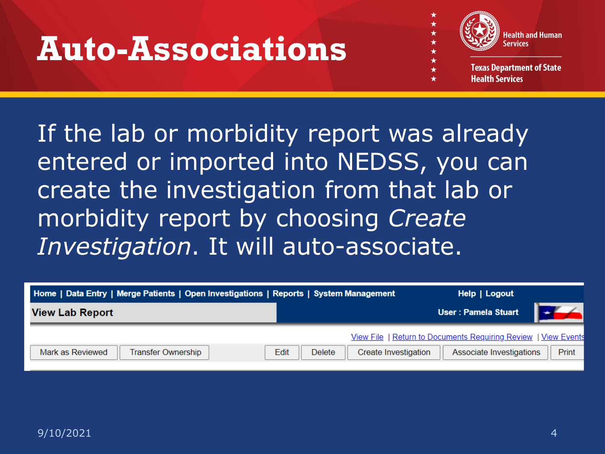### **Auto-Associations**



**Health Services** 

If the lab or morbidity report was already entered or imported into NEDSS, you can create the investigation from that lab or morbidity report by choosing *Create Investigation*. It will auto-associate.

| Home   Data Entry   Merge Patients   Open Investigations   Reports   System Management | Help   Logout                                                             |       |
|----------------------------------------------------------------------------------------|---------------------------------------------------------------------------|-------|
| <b>View Lab Report</b>                                                                 | User: Pamela Stuart                                                       |       |
|                                                                                        | View File   Return to Documents Requiring Review   View Events            |       |
| Mark as Reviewed<br><b>Transfer Ownership</b>                                          | <b>Associate Investigations</b><br>Edit<br>Create Investigation<br>Delete | Print |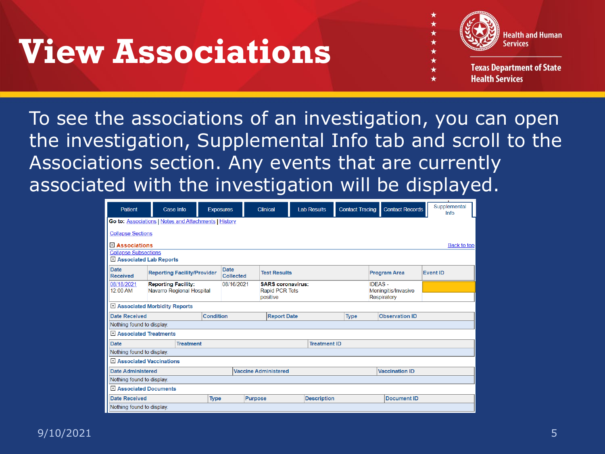### **View Associations**



**Health Services** 

To see the associations of an investigation, you can open the investigation, Supplemental Info tab and scroll to the Associations section. Any events that are currently associated with the investigation will be displayed.

| <b>Patient</b>                                                                                                                                                           | Case Info                                               | <b>Exposures</b> |            | <b>Clinical</b>                                   |  | <b>Lab Results</b>  | <b>Contact Tracing</b> |               | <b>Contact Records</b> | Supplemental<br>Info |  |  |  |
|--------------------------------------------------------------------------------------------------------------------------------------------------------------------------|---------------------------------------------------------|------------------|------------|---------------------------------------------------|--|---------------------|------------------------|---------------|------------------------|----------------------|--|--|--|
| Go to: Associations   Notes and Attachments   History                                                                                                                    |                                                         |                  |            |                                                   |  |                     |                        |               |                        |                      |  |  |  |
| <b>Collapse Sections</b>                                                                                                                                                 |                                                         |                  |            |                                                   |  |                     |                        |               |                        |                      |  |  |  |
| $\Box$ Associations<br>Back to top                                                                                                                                       |                                                         |                  |            |                                                   |  |                     |                        |               |                        |                      |  |  |  |
| <b>Collapse Subsections</b>                                                                                                                                              |                                                         |                  |            |                                                   |  |                     |                        |               |                        |                      |  |  |  |
| Associated Lab Reports                                                                                                                                                   |                                                         |                  |            |                                                   |  |                     |                        |               |                        |                      |  |  |  |
| <b>Date</b><br><b>Date</b><br><b>Reporting Facility/Provider</b><br><b>Test Results</b><br><b>Program Area</b><br><b>Event ID</b><br><b>Received</b><br><b>Collected</b> |                                                         |                  |            |                                                   |  |                     |                        |               |                        |                      |  |  |  |
| 08/18/2021<br>12:00 AM                                                                                                                                                   | <b>Reporting Facility:</b><br>Navarro Regional Hospital |                  | 08/16/2021 | <b>SARS</b> coronavirus:<br><b>Rapid PCR Tets</b> |  |                     |                        | <b>IDEAS-</b> | Meningitis/Invasive    |                      |  |  |  |
|                                                                                                                                                                          |                                                         |                  |            | positive                                          |  |                     |                        |               | <b>Respiratory</b>     |                      |  |  |  |
|                                                                                                                                                                          | Associated Morbidity Reports                            |                  |            |                                                   |  |                     |                        |               |                        |                      |  |  |  |
| <b>Date Received</b>                                                                                                                                                     |                                                         | <b>Condition</b> |            | <b>Report Date</b>                                |  |                     | <b>Type</b>            |               | <b>Observation ID</b>  |                      |  |  |  |
| Nothing found to display.                                                                                                                                                |                                                         |                  |            |                                                   |  |                     |                        |               |                        |                      |  |  |  |
| Associated Treatments                                                                                                                                                    |                                                         |                  |            |                                                   |  |                     |                        |               |                        |                      |  |  |  |
| <b>Date</b>                                                                                                                                                              | <b>Treatment</b>                                        |                  |            |                                                   |  | <b>Treatment ID</b> |                        |               |                        |                      |  |  |  |
| Nothing found to display.                                                                                                                                                |                                                         |                  |            |                                                   |  |                     |                        |               |                        |                      |  |  |  |
| Associated Vaccinations                                                                                                                                                  |                                                         |                  |            |                                                   |  |                     |                        |               |                        |                      |  |  |  |
| <b>Vaccine Administered</b><br><b>Vaccination ID</b><br><b>Date Administered</b>                                                                                         |                                                         |                  |            |                                                   |  |                     |                        |               |                        |                      |  |  |  |
| Nothing found to display.<br>Associated Documents                                                                                                                        |                                                         |                  |            |                                                   |  |                     |                        |               |                        |                      |  |  |  |
|                                                                                                                                                                          |                                                         |                  |            |                                                   |  |                     |                        |               |                        |                      |  |  |  |
| <b>Date Received</b>                                                                                                                                                     |                                                         | <b>Type</b>      |            | <b>Purpose</b>                                    |  | <b>Description</b>  |                        |               | <b>Document ID</b>     |                      |  |  |  |
| Nothing found to display.                                                                                                                                                |                                                         |                  |            |                                                   |  |                     |                        |               |                        |                      |  |  |  |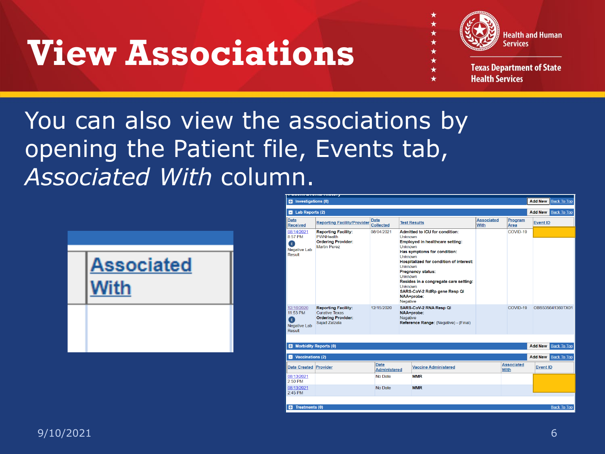# **View Associations**



**Health and Human** 

**Texas Department of State Health Services** 

#### You can also view the associations by opening the Patient file, Events tab, *Associated With* column.



| <b>C</b> Investigations (0)<br><b>Add New Back To Top</b> |                                                                                                    |                                 |                                                                                                                                                                                                                                                                                                                                                                   |                           |                           |                                      |  |  |  |  |  |  |
|-----------------------------------------------------------|----------------------------------------------------------------------------------------------------|---------------------------------|-------------------------------------------------------------------------------------------------------------------------------------------------------------------------------------------------------------------------------------------------------------------------------------------------------------------------------------------------------------------|---------------------------|---------------------------|--------------------------------------|--|--|--|--|--|--|
|                                                           | Lab Reports (2)<br><b>Back To Top</b><br><b>Add New</b>                                            |                                 |                                                                                                                                                                                                                                                                                                                                                                   |                           |                           |                                      |  |  |  |  |  |  |
| Date<br><b>Received</b>                                   | <b>Reporting Facility/Provider</b>                                                                 | <b>Date</b><br><b>Collected</b> | <b>Test Results</b>                                                                                                                                                                                                                                                                                                                                               | <b>Associated</b><br>With | Program<br>Area           | <b>Event ID</b>                      |  |  |  |  |  |  |
| 08/14/2021<br>8:57 PM<br>G<br>Negative Lab<br>Result      | <b>Reporting Facility:</b><br><b>PWNHealth</b><br><b>Ordering Provider:</b><br><b>Martin Perez</b> | 08/04/2021                      | Admitted to ICU for condition:<br>Unknown<br><b>Employed in healthcare setting:</b><br>Unknown<br>Has symptoms for condition:<br>Unknown<br>Hospitalized for condition of interest:<br><b>Unknown</b><br><b>Pregnancy status:</b><br>Unknown<br>Resides in a congregate care setting:<br><b>Unknown</b><br>SARS-CoV-2 RdRp gene Resp QI<br>NAA+probe:<br>Negative |                           | COVID-19                  |                                      |  |  |  |  |  |  |
| 12/16/2020<br>11:53 PM<br>G<br>Negative Lab<br>Result     | <b>Reporting Facility:</b><br><b>Curative Texas</b><br><b>Ordering Provider:</b><br>Sajad Zalzala  | 12/15/2020                      | SARS-CoV-2 RNA Resp QI<br>NAA+probe:<br>Negative<br>Reference Range: (Negative) - (Final)                                                                                                                                                                                                                                                                         |                           | COVID-19                  | OBS535641360TX01                     |  |  |  |  |  |  |
|                                                           |                                                                                                    |                                 |                                                                                                                                                                                                                                                                                                                                                                   |                           |                           |                                      |  |  |  |  |  |  |
| Morbidity Reports (0)                                     |                                                                                                    |                                 |                                                                                                                                                                                                                                                                                                                                                                   |                           |                           | <b>Add New</b><br><b>Back To Top</b> |  |  |  |  |  |  |
| Vaccinations (2)                                          |                                                                                                    |                                 |                                                                                                                                                                                                                                                                                                                                                                   |                           |                           | <b>Add New Back To Top</b>           |  |  |  |  |  |  |
| Date Created Provider                                     |                                                                                                    | <b>Date</b><br>Administered     | <b>Vaccine Administered</b>                                                                                                                                                                                                                                                                                                                                       |                           | <b>Associated</b><br>With | <b>Event ID</b>                      |  |  |  |  |  |  |
| 08/13/2021<br>2:50 PM                                     |                                                                                                    | No Date                         | <b>MMR</b>                                                                                                                                                                                                                                                                                                                                                        |                           |                           |                                      |  |  |  |  |  |  |
| 08/13/2021<br>2:45 PM                                     |                                                                                                    | No Date                         | <b>MMR</b>                                                                                                                                                                                                                                                                                                                                                        |                           |                           |                                      |  |  |  |  |  |  |
|                                                           |                                                                                                    |                                 |                                                                                                                                                                                                                                                                                                                                                                   |                           |                           |                                      |  |  |  |  |  |  |
| Œ                                                         | <b>Treatments (0)</b><br><b>Back To Top</b>                                                        |                                 |                                                                                                                                                                                                                                                                                                                                                                   |                           |                           |                                      |  |  |  |  |  |  |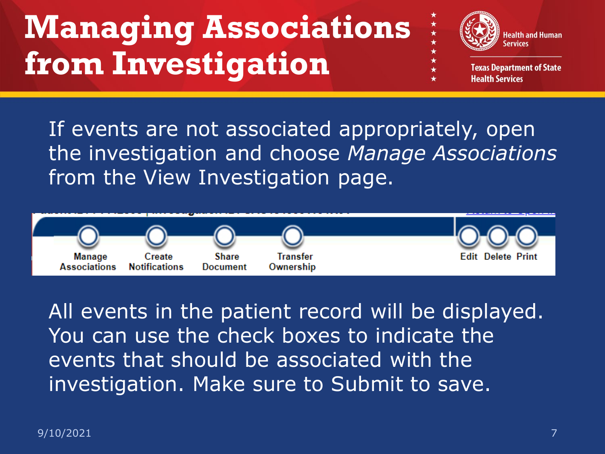# **Managing Associations from Investigation**



**Texas Department of State Health Services** 

If events are not associated appropriately, open the investigation and choose *Manage Associations*  from the View Investigation page.



All events in the patient record will be displayed. You can use the check boxes to indicate the events that should be associated with the investigation. Make sure to Submit to save.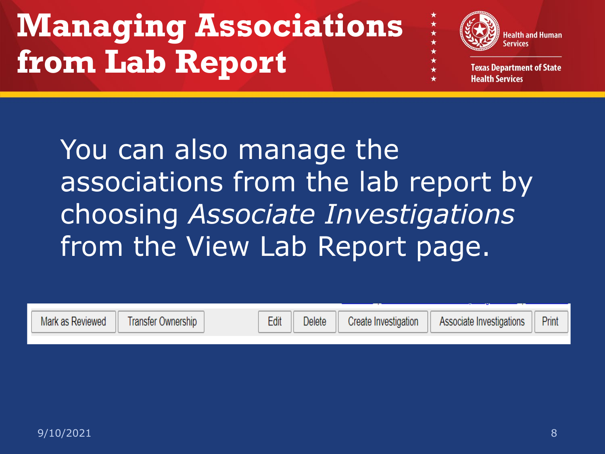# **Managing Associations from Lab Report**



**Texas Department of State Health Services** 

You can also manage the associations from the lab report by choosing *Associate Investigations*  from the View Lab Report page.

| Reviewed<br>viark | i ranster<br>)wnership | Edit | $D$ elete | treate<br>Investigation | <b>ASSOCIATE</b><br>Investigation | Print |
|-------------------|------------------------|------|-----------|-------------------------|-----------------------------------|-------|
|                   |                        |      |           |                         |                                   |       |